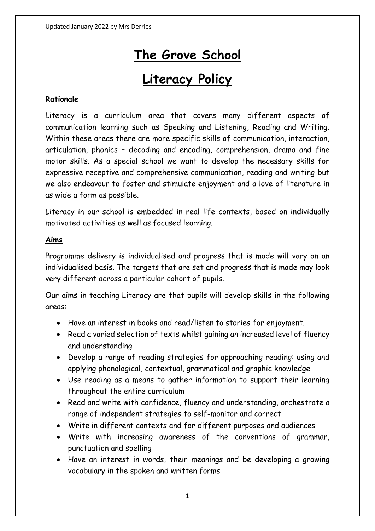# **The Grove School**

# **Literacy Policy**

# **Rationale**

Literacy is a curriculum area that covers many different aspects of communication learning such as Speaking and Listening, Reading and Writing. Within these areas there are more specific skills of communication, interaction, articulation, phonics – decoding and encoding, comprehension, drama and fine motor skills. As a special school we want to develop the necessary skills for expressive receptive and comprehensive communication, reading and writing but we also endeavour to foster and stimulate enjoyment and a love of literature in as wide a form as possible.

Literacy in our school is embedded in real life contexts, based on individually motivated activities as well as focused learning.

#### **Aims**

Programme delivery is individualised and progress that is made will vary on an individualised basis. The targets that are set and progress that is made may look very different across a particular cohort of pupils.

Our aims in teaching Literacy are that pupils will develop skills in the following areas:

- Have an interest in books and read/listen to stories for enjoyment.
- Read a varied selection of texts whilst gaining an increased level of fluency and understanding
- Develop a range of reading strategies for approaching reading: using and applying phonological, contextual, grammatical and graphic knowledge
- Use reading as a means to gather information to support their learning throughout the entire curriculum
- Read and write with confidence, fluency and understanding, orchestrate a range of independent strategies to self-monitor and correct
- Write in different contexts and for different purposes and audiences
- Write with increasing awareness of the conventions of grammar, punctuation and spelling
- Have an interest in words, their meanings and be developing a growing vocabulary in the spoken and written forms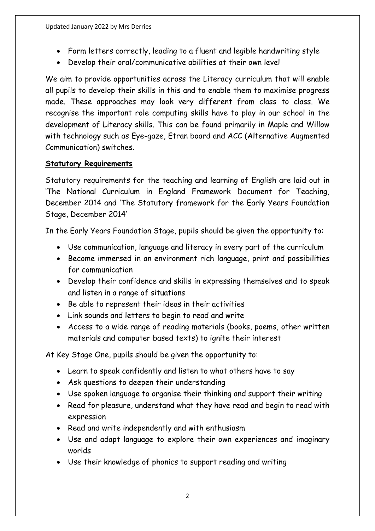- Form letters correctly, leading to a fluent and legible handwriting style
- Develop their oral/communicative abilities at their own level

We aim to provide opportunities across the Literacy curriculum that will enable all pupils to develop their skills in this and to enable them to maximise progress made. These approaches may look very different from class to class. We recognise the important role computing skills have to play in our school in the development of Literacy skills. This can be found primarily in Maple and Willow with technology such as Eye-gaze, Etran board and ACC (Alternative Augmented Communication) switches.

#### **Statutory Requirements**

Statutory requirements for the teaching and learning of English are laid out in 'The National Curriculum in England Framework Document for Teaching, December 2014 and 'The Statutory framework for the Early Years Foundation Stage, December 2014'

In the Early Years Foundation Stage, pupils should be given the opportunity to:

- Use communication, language and literacy in every part of the curriculum
- Become immersed in an environment rich language, print and possibilities for communication
- Develop their confidence and skills in expressing themselves and to speak and listen in a range of situations
- Be able to represent their ideas in their activities
- Link sounds and letters to begin to read and write
- Access to a wide range of reading materials (books, poems, other written materials and computer based texts) to ignite their interest

At Key Stage One, pupils should be given the opportunity to:

- Learn to speak confidently and listen to what others have to say
- Ask questions to deepen their understanding
- Use spoken language to organise their thinking and support their writing
- Read for pleasure, understand what they have read and begin to read with expression
- Read and write independently and with enthusiasm
- Use and adapt language to explore their own experiences and imaginary worlds
- Use their knowledge of phonics to support reading and writing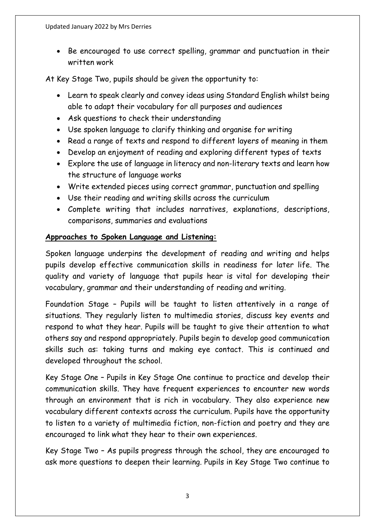• Be encouraged to use correct spelling, grammar and punctuation in their written work

At Key Stage Two, pupils should be given the opportunity to:

- Learn to speak clearly and convey ideas using Standard English whilst being able to adapt their vocabulary for all purposes and audiences
- Ask questions to check their understanding
- Use spoken language to clarify thinking and organise for writing
- Read a range of texts and respond to different layers of meaning in them
- Develop an enjoyment of reading and exploring different types of texts
- Explore the use of language in literacy and non-literary texts and learn how the structure of language works
- Write extended pieces using correct grammar, punctuation and spelling
- Use their reading and writing skills across the curriculum
- Complete writing that includes narratives, explanations, descriptions, comparisons, summaries and evaluations

# **Approaches to Spoken Language and Listening:**

Spoken language underpins the development of reading and writing and helps pupils develop effective communication skills in readiness for later life. The quality and variety of language that pupils hear is vital for developing their vocabulary, grammar and their understanding of reading and writing.

Foundation Stage – Pupils will be taught to listen attentively in a range of situations. They regularly listen to multimedia stories, discuss key events and respond to what they hear. Pupils will be taught to give their attention to what others say and respond appropriately. Pupils begin to develop good communication skills such as: taking turns and making eye contact. This is continued and developed throughout the school.

Key Stage One – Pupils in Key Stage One continue to practice and develop their communication skills. They have frequent experiences to encounter new words through an environment that is rich in vocabulary. They also experience new vocabulary different contexts across the curriculum. Pupils have the opportunity to listen to a variety of multimedia fiction, non-fiction and poetry and they are encouraged to link what they hear to their own experiences.

Key Stage Two – As pupils progress through the school, they are encouraged to ask more questions to deepen their learning. Pupils in Key Stage Two continue to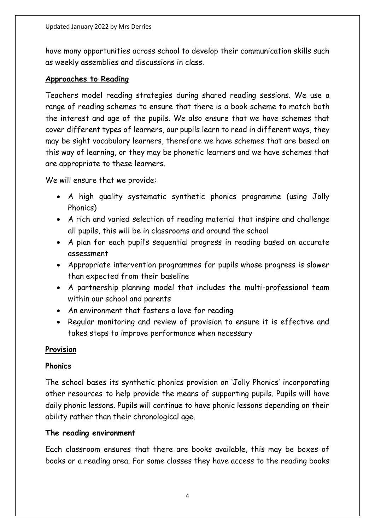have many opportunities across school to develop their communication skills such as weekly assemblies and discussions in class.

#### **Approaches to Reading**

Teachers model reading strategies during shared reading sessions. We use a range of reading schemes to ensure that there is a book scheme to match both the interest and age of the pupils. We also ensure that we have schemes that cover different types of learners, our pupils learn to read in different ways, they may be sight vocabulary learners, therefore we have schemes that are based on this way of learning, or they may be phonetic learners and we have schemes that are appropriate to these learners.

We will ensure that we provide:

- A high quality systematic synthetic phonics programme (using Jolly Phonics)
- A rich and varied selection of reading material that inspire and challenge all pupils, this will be in classrooms and around the school
- A plan for each pupil's sequential progress in reading based on accurate assessment
- Appropriate intervention programmes for pupils whose progress is slower than expected from their baseline
- A partnership planning model that includes the multi-professional team within our school and parents
- An environment that fosters a love for reading
- Regular monitoring and review of provision to ensure it is effective and takes steps to improve performance when necessary

#### **Provision**

#### **Phonics**

The school bases its synthetic phonics provision on 'Jolly Phonics' incorporating other resources to help provide the means of supporting pupils. Pupils will have daily phonic lessons. Pupils will continue to have phonic lessons depending on their ability rather than their chronological age.

#### **The reading environment**

Each classroom ensures that there are books available, this may be boxes of books or a reading area. For some classes they have access to the reading books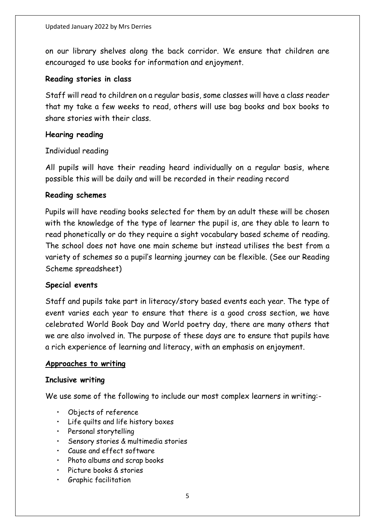on our library shelves along the back corridor. We ensure that children are encouraged to use books for information and enjoyment.

#### **Reading stories in class**

Staff will read to children on a regular basis, some classes will have a class reader that my take a few weeks to read, others will use bag books and box books to share stories with their class.

#### **Hearing reading**

#### Individual reading

All pupils will have their reading heard individually on a regular basis, where possible this will be daily and will be recorded in their reading record

#### **Reading schemes**

Pupils will have reading books selected for them by an adult these will be chosen with the knowledge of the type of learner the pupil is, are they able to learn to read phonetically or do they require a sight vocabulary based scheme of reading. The school does not have one main scheme but instead utilises the best from a variety of schemes so a pupil's learning journey can be flexible. (See our Reading Scheme spreadsheet)

#### **Special events**

Staff and pupils take part in literacy/story based events each year. The type of event varies each year to ensure that there is a good cross section, we have celebrated World Book Day and World poetry day, there are many others that we are also involved in. The purpose of these days are to ensure that pupils have a rich experience of learning and literacy, with an emphasis on enjoyment.

#### **Approaches to writing**

#### **Inclusive writing**

We use some of the following to include our most complex learners in writing:-

- Objects of reference
- Life quilts and life history boxes
- Personal storytelling
- Sensory stories & multimedia stories
- Cause and effect software
- Photo albums and scrap books
- Picture books & stories
- Graphic facilitation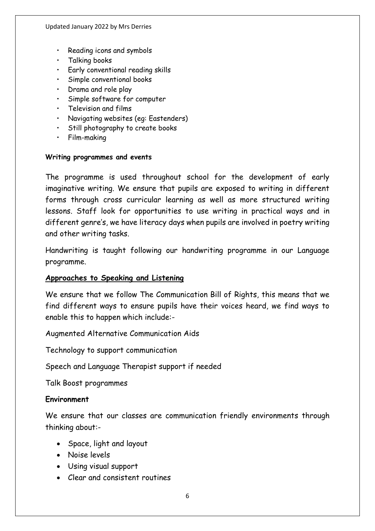- Reading icons and symbols
- Talking books
- Early conventional reading skills
- Simple conventional books
- Drama and role play
- Simple software for computer
- Television and films
- Navigating websites (eg: Eastenders)
- Still photography to create books
- Film-making

#### **Writing programmes and events**

The programme is used throughout school for the development of early imaginative writing. We ensure that pupils are exposed to writing in different forms through cross curricular learning as well as more structured writing lessons. Staff look for opportunities to use writing in practical ways and in different genre's, we have literacy days when pupils are involved in poetry writing and other writing tasks.

Handwriting is taught following our handwriting programme in our Language programme.

#### **Approaches to Speaking and Listening**

We ensure that we follow The Communication Bill of Rights, this means that we find different ways to ensure pupils have their voices heard, we find ways to enable this to happen which include:-

Augmented Alternative Communication Aids

Technology to support communication

Speech and Language Therapist support if needed

Talk Boost programmes

#### **Environment**

We ensure that our classes are communication friendly environments through thinking about:-

- Space, light and layout
- Noise levels
- Using visual support
- Clear and consistent routines